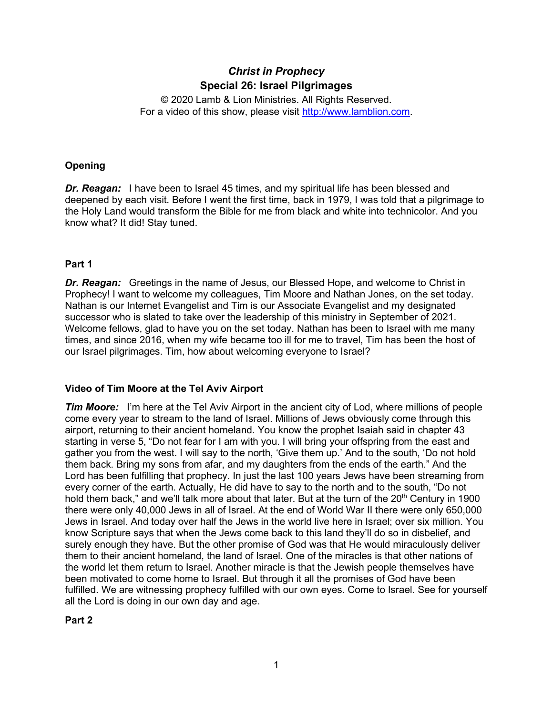# *Christ in Prophecy* **Special 26: Israel Pilgrimages**

© 2020 Lamb & Lion Ministries. All Rights Reserved. For a video of this show, please visit [http://www.lamblion.com.](http://www.lamblion.com/)

# **Opening**

**Dr. Reagan:** I have been to Israel 45 times, and my spiritual life has been blessed and deepened by each visit. Before I went the first time, back in 1979, I was told that a pilgrimage to the Holy Land would transform the Bible for me from black and white into technicolor. And you know what? It did! Stay tuned.

# **Part 1**

*Dr. Reagan:* Greetings in the name of Jesus, our Blessed Hope, and welcome to Christ in Prophecy! I want to welcome my colleagues, Tim Moore and Nathan Jones, on the set today. Nathan is our Internet Evangelist and Tim is our Associate Evangelist and my designated successor who is slated to take over the leadership of this ministry in September of 2021. Welcome fellows, glad to have you on the set today. Nathan has been to Israel with me many times, and since 2016, when my wife became too ill for me to travel, Tim has been the host of our Israel pilgrimages. Tim, how about welcoming everyone to Israel?

# **Video of Tim Moore at the Tel Aviv Airport**

*Tim Moore:* I'm here at the Tel Aviv Airport in the ancient city of Lod, where millions of people come every year to stream to the land of Israel. Millions of Jews obviously come through this airport, returning to their ancient homeland. You know the prophet Isaiah said in chapter 43 starting in verse 5, "Do not fear for I am with you. I will bring your offspring from the east and gather you from the west. I will say to the north, 'Give them up.' And to the south, 'Do not hold them back. Bring my sons from afar, and my daughters from the ends of the earth." And the Lord has been fulfilling that prophecy. In just the last 100 years Jews have been streaming from every corner of the earth. Actually, He did have to say to the north and to the south, "Do not hold them back," and we'll talk more about that later. But at the turn of the 20<sup>th</sup> Century in 1900 there were only 40,000 Jews in all of Israel. At the end of World War II there were only 650,000 Jews in Israel. And today over half the Jews in the world live here in Israel; over six million. You know Scripture says that when the Jews come back to this land they'll do so in disbelief, and surely enough they have. But the other promise of God was that He would miraculously deliver them to their ancient homeland, the land of Israel. One of the miracles is that other nations of the world let them return to Israel. Another miracle is that the Jewish people themselves have been motivated to come home to Israel. But through it all the promises of God have been fulfilled. We are witnessing prophecy fulfilled with our own eyes. Come to Israel. See for yourself all the Lord is doing in our own day and age.

# **Part 2**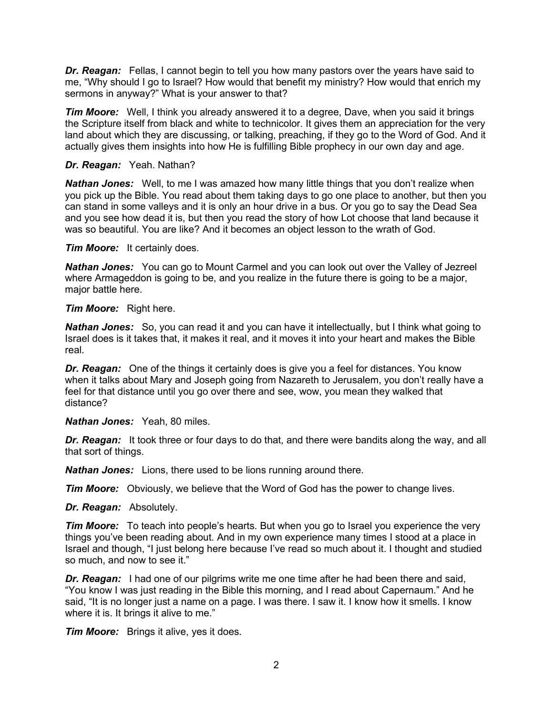*Dr. Reagan:* Fellas, I cannot begin to tell you how many pastors over the years have said to me, "Why should I go to Israel? How would that benefit my ministry? How would that enrich my sermons in anyway?" What is your answer to that?

*Tim Moore:* Well, I think you already answered it to a degree, Dave, when you said it brings the Scripture itself from black and white to technicolor. It gives them an appreciation for the very land about which they are discussing, or talking, preaching, if they go to the Word of God. And it actually gives them insights into how He is fulfilling Bible prophecy in our own day and age.

## *Dr. Reagan:* Yeah. Nathan?

**Nathan Jones:** Well, to me I was amazed how many little things that you don't realize when you pick up the Bible. You read about them taking days to go one place to another, but then you can stand in some valleys and it is only an hour drive in a bus. Or you go to say the Dead Sea and you see how dead it is, but then you read the story of how Lot choose that land because it was so beautiful. You are like? And it becomes an object lesson to the wrath of God.

*Tim Moore:* It certainly does.

*Nathan Jones:* You can go to Mount Carmel and you can look out over the Valley of Jezreel where Armageddon is going to be, and you realize in the future there is going to be a major, major battle here.

*Tim Moore:* Right here.

*Nathan Jones:* So, you can read it and you can have it intellectually, but I think what going to Israel does is it takes that, it makes it real, and it moves it into your heart and makes the Bible real.

*Dr. Reagan:* One of the things it certainly does is give you a feel for distances. You know when it talks about Mary and Joseph going from Nazareth to Jerusalem, you don't really have a feel for that distance until you go over there and see, wow, you mean they walked that distance?

*Nathan Jones:* Yeah, 80 miles.

*Dr. Reagan:* It took three or four days to do that, and there were bandits along the way, and all that sort of things.

*Nathan Jones:* Lions, there used to be lions running around there.

*Tim Moore:* Obviously, we believe that the Word of God has the power to change lives.

*Dr. Reagan:* Absolutely.

*Tim Moore:* To teach into people's hearts. But when you go to Israel you experience the very things you've been reading about. And in my own experience many times I stood at a place in Israel and though, "I just belong here because I've read so much about it. I thought and studied so much, and now to see it."

*Dr. Reagan:* I had one of our pilgrims write me one time after he had been there and said, "You know I was just reading in the Bible this morning, and I read about Capernaum." And he said, "It is no longer just a name on a page. I was there. I saw it. I know how it smells. I know where it is. It brings it alive to me."

*Tim Moore:* Brings it alive, yes it does.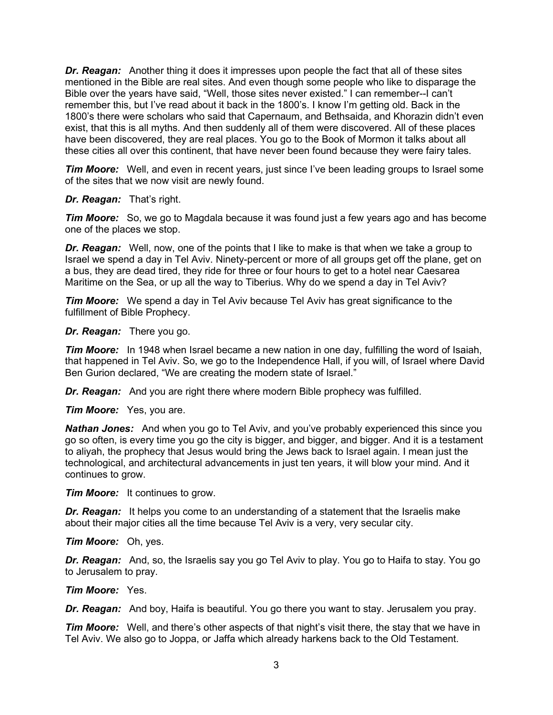*Dr. Reagan:* Another thing it does it impresses upon people the fact that all of these sites mentioned in the Bible are real sites. And even though some people who like to disparage the Bible over the years have said, "Well, those sites never existed." I can remember--I can't remember this, but I've read about it back in the 1800's. I know I'm getting old. Back in the 1800's there were scholars who said that Capernaum, and Bethsaida, and Khorazin didn't even exist, that this is all myths. And then suddenly all of them were discovered. All of these places have been discovered, they are real places. You go to the Book of Mormon it talks about all these cities all over this continent, that have never been found because they were fairy tales.

*Tim Moore:* Well, and even in recent years, just since I've been leading groups to Israel some of the sites that we now visit are newly found.

#### *Dr. Reagan:* That's right.

*Tim Moore:* So, we go to Magdala because it was found just a few years ago and has become one of the places we stop.

*Dr. Reagan:* Well, now, one of the points that I like to make is that when we take a group to Israel we spend a day in Tel Aviv. Ninety-percent or more of all groups get off the plane, get on a bus, they are dead tired, they ride for three or four hours to get to a hotel near Caesarea Maritime on the Sea, or up all the way to Tiberius. Why do we spend a day in Tel Aviv?

*Tim Moore:* We spend a day in Tel Aviv because Tel Aviv has great significance to the fulfillment of Bible Prophecy.

#### *Dr. Reagan:* There you go.

*Tim Moore:* In 1948 when Israel became a new nation in one day, fulfilling the word of Isaiah, that happened in Tel Aviv. So, we go to the Independence Hall, if you will, of Israel where David Ben Gurion declared, "We are creating the modern state of Israel."

*Dr. Reagan:* And you are right there where modern Bible prophecy was fulfilled.

*Tim Moore:* Yes, you are.

*Nathan Jones:* And when you go to Tel Aviv, and you've probably experienced this since you go so often, is every time you go the city is bigger, and bigger, and bigger. And it is a testament to aliyah, the prophecy that Jesus would bring the Jews back to Israel again. I mean just the technological, and architectural advancements in just ten years, it will blow your mind. And it continues to grow.

*Tim Moore:* It continues to grow.

*Dr. Reagan:* It helps you come to an understanding of a statement that the Israelis make about their major cities all the time because Tel Aviv is a very, very secular city.

*Tim Moore:* Oh, yes.

*Dr. Reagan:* And, so, the Israelis say you go Tel Aviv to play. You go to Haifa to stay. You go to Jerusalem to pray.

*Tim Moore:* Yes.

*Dr. Reagan:* And boy, Haifa is beautiful. You go there you want to stay. Jerusalem you pray.

*Tim Moore:* Well, and there's other aspects of that night's visit there, the stay that we have in Tel Aviv. We also go to Joppa, or Jaffa which already harkens back to the Old Testament.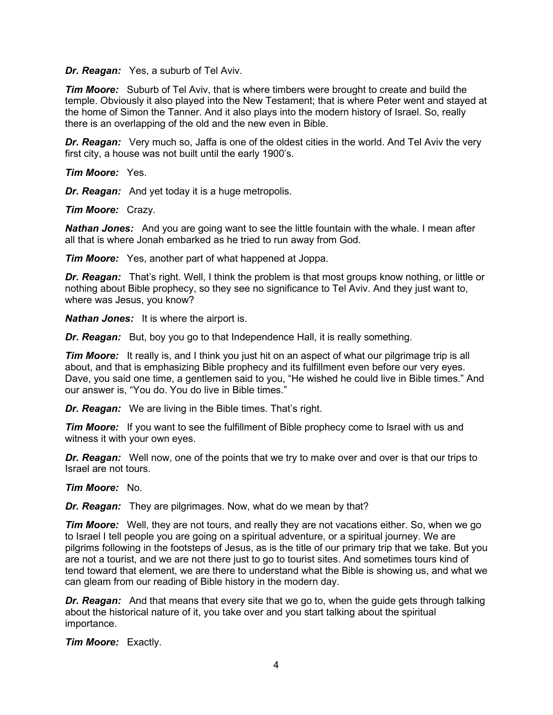*Dr. Reagan:* Yes, a suburb of Tel Aviv.

*Tim Moore:* Suburb of Tel Aviv, that is where timbers were brought to create and build the temple. Obviously it also played into the New Testament; that is where Peter went and stayed at the home of Simon the Tanner. And it also plays into the modern history of Israel. So, really there is an overlapping of the old and the new even in Bible.

*Dr. Reagan:* Very much so, Jaffa is one of the oldest cities in the world. And Tel Aviv the very first city, a house was not built until the early 1900's.

*Tim Moore:* Yes.

*Dr. Reagan:* And yet today it is a huge metropolis.

*Tim Moore:* Crazy.

*Nathan Jones:* And you are going want to see the little fountain with the whale. I mean after all that is where Jonah embarked as he tried to run away from God.

*Tim Moore:* Yes, another part of what happened at Joppa.

*Dr. Reagan:* That's right. Well, I think the problem is that most groups know nothing, or little or nothing about Bible prophecy, so they see no significance to Tel Aviv. And they just want to, where was Jesus, you know?

*Nathan Jones:* It is where the airport is.

**Dr. Reagan:** But, boy you go to that Independence Hall, it is really something.

*Tim Moore:* It really is, and I think you just hit on an aspect of what our pilgrimage trip is all about, and that is emphasizing Bible prophecy and its fulfillment even before our very eyes. Dave, you said one time, a gentlemen said to you, "He wished he could live in Bible times." And our answer is, "You do. You do live in Bible times."

*Dr. Reagan:* We are living in the Bible times. That's right.

*Tim Moore:* If you want to see the fulfillment of Bible prophecy come to Israel with us and witness it with your own eyes.

*Dr. Reagan:* Well now, one of the points that we try to make over and over is that our trips to Israel are not tours.

*Tim Moore:* No.

*Dr. Reagan:* They are pilgrimages. Now, what do we mean by that?

*Tim Moore:* Well, they are not tours, and really they are not vacations either. So, when we go to Israel I tell people you are going on a spiritual adventure, or a spiritual journey. We are pilgrims following in the footsteps of Jesus, as is the title of our primary trip that we take. But you are not a tourist, and we are not there just to go to tourist sites. And sometimes tours kind of tend toward that element, we are there to understand what the Bible is showing us, and what we can gleam from our reading of Bible history in the modern day.

**Dr. Reagan:** And that means that every site that we go to, when the guide gets through talking about the historical nature of it, you take over and you start talking about the spiritual importance.

*Tim Moore:* Exactly.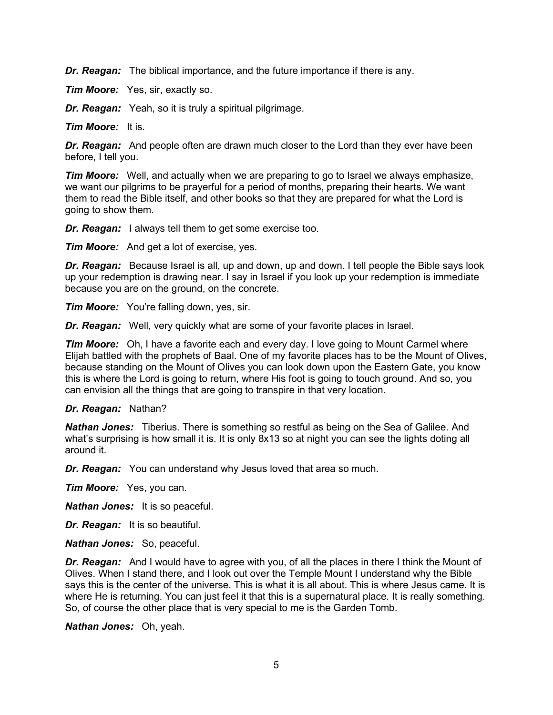*Dr. Reagan:* The biblical importance, and the future importance if there is any.

*Tim Moore:* Yes, sir, exactly so.

*Dr. Reagan:* Yeah, so it is truly a spiritual pilgrimage.

*Tim Moore:* It is.

*Dr. Reagan:* And people often are drawn much closer to the Lord than they ever have been before, I tell you.

*Tim Moore:* Well, and actually when we are preparing to go to Israel we always emphasize, we want our pilgrims to be prayerful for a period of months, preparing their hearts. We want them to read the Bible itself, and other books so that they are prepared for what the Lord is going to show them.

*Dr. Reagan:* I always tell them to get some exercise too.

*Tim Moore:* And get a lot of exercise, yes.

*Dr. Reagan:* Because Israel is all, up and down, up and down. I tell people the Bible says look up your redemption is drawing near. I say in Israel if you look up your redemption is immediate because you are on the ground, on the concrete.

*Tim Moore:* You're falling down, yes, sir.

*Dr. Reagan:* Well, very quickly what are some of your favorite places in Israel.

*Tim Moore:* Oh, I have a favorite each and every day. I love going to Mount Carmel where Elijah battled with the prophets of Baal. One of my favorite places has to be the Mount of Olives, because standing on the Mount of Olives you can look down upon the Eastern Gate, you know this is where the Lord is going to return, where His foot is going to touch ground. And so, you can envision all the things that are going to transpire in that very location.

#### *Dr. Reagan:* Nathan?

*Nathan Jones:* Tiberius. There is something so restful as being on the Sea of Galilee. And what's surprising is how small it is. It is only 8x13 so at night you can see the lights doting all around it.

*Dr. Reagan:* You can understand why Jesus loved that area so much.

*Tim Moore:* Yes, you can.

*Nathan Jones:* It is so peaceful.

*Dr. Reagan:* It is so beautiful.

*Nathan Jones:* So, peaceful.

*Dr. Reagan:* And I would have to agree with you, of all the places in there I think the Mount of Olives. When I stand there, and I look out over the Temple Mount I understand why the Bible says this is the center of the universe. This is what it is all about. This is where Jesus came. It is where He is returning. You can just feel it that this is a supernatural place. It is really something. So, of course the other place that is very special to me is the Garden Tomb.

*Nathan Jones:* Oh, yeah.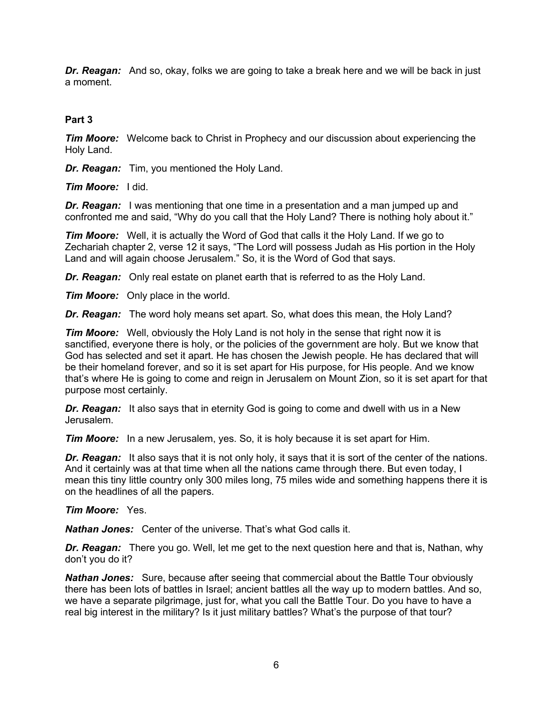*Dr. Reagan:* And so, okay, folks we are going to take a break here and we will be back in just a moment.

## **Part 3**

*Tim Moore:* Welcome back to Christ in Prophecy and our discussion about experiencing the Holy Land.

*Dr. Reagan:* Tim, you mentioned the Holy Land.

*Tim Moore:* I did.

**Dr. Reagan:** I was mentioning that one time in a presentation and a man jumped up and confronted me and said, "Why do you call that the Holy Land? There is nothing holy about it."

*Tim Moore:* Well, it is actually the Word of God that calls it the Holy Land. If we go to Zechariah chapter 2, verse 12 it says, "The Lord will possess Judah as His portion in the Holy Land and will again choose Jerusalem." So, it is the Word of God that says.

*Dr. Reagan:* Only real estate on planet earth that is referred to as the Holy Land.

*Tim Moore:* Only place in the world.

*Dr. Reagan:* The word holy means set apart. So, what does this mean, the Holy Land?

*Tim Moore:* Well, obviously the Holy Land is not holy in the sense that right now it is sanctified, everyone there is holy, or the policies of the government are holy. But we know that God has selected and set it apart. He has chosen the Jewish people. He has declared that will be their homeland forever, and so it is set apart for His purpose, for His people. And we know that's where He is going to come and reign in Jerusalem on Mount Zion, so it is set apart for that purpose most certainly.

*Dr. Reagan:* It also says that in eternity God is going to come and dwell with us in a New Jerusalem.

*Tim Moore:* In a new Jerusalem, yes. So, it is holy because it is set apart for Him.

**Dr. Reagan:** It also says that it is not only holy, it says that it is sort of the center of the nations. And it certainly was at that time when all the nations came through there. But even today, I mean this tiny little country only 300 miles long, 75 miles wide and something happens there it is on the headlines of all the papers.

#### *Tim Moore:* Yes.

*Nathan Jones:* Center of the universe. That's what God calls it.

*Dr. Reagan:* There you go. Well, let me get to the next question here and that is, Nathan, why don't you do it?

*Nathan Jones:* Sure, because after seeing that commercial about the Battle Tour obviously there has been lots of battles in Israel; ancient battles all the way up to modern battles. And so, we have a separate pilgrimage, just for, what you call the Battle Tour. Do you have to have a real big interest in the military? Is it just military battles? What's the purpose of that tour?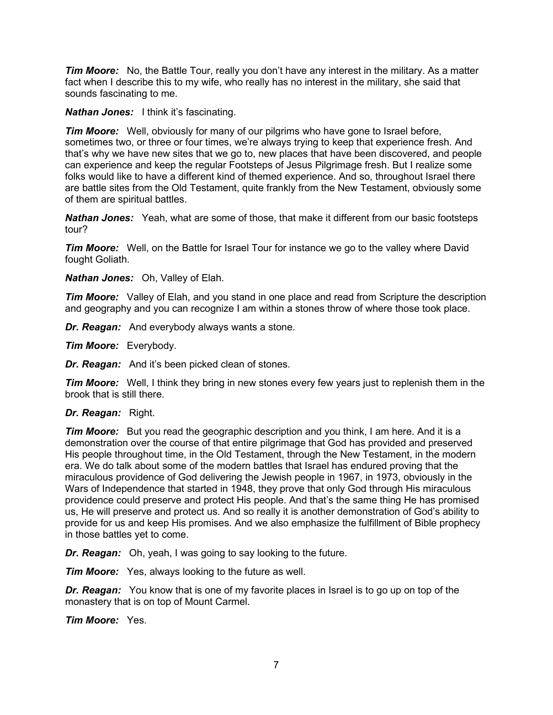**Tim Moore:** No, the Battle Tour, really you don't have any interest in the military. As a matter fact when I describe this to my wife, who really has no interest in the military, she said that sounds fascinating to me.

*Nathan Jones:* I think it's fascinating.

*Tim Moore:* Well, obviously for many of our pilgrims who have gone to Israel before, sometimes two, or three or four times, we're always trying to keep that experience fresh. And that's why we have new sites that we go to, new places that have been discovered, and people can experience and keep the regular Footsteps of Jesus Pilgrimage fresh. But I realize some folks would like to have a different kind of themed experience. And so, throughout Israel there are battle sites from the Old Testament, quite frankly from the New Testament, obviously some of them are spiritual battles.

*Nathan Jones:* Yeah, what are some of those, that make it different from our basic footsteps tour?

*Tim Moore:* Well, on the Battle for Israel Tour for instance we go to the valley where David fought Goliath.

*Nathan Jones:* Oh, Valley of Elah.

*Tim Moore:* Valley of Elah, and you stand in one place and read from Scripture the description and geography and you can recognize I am within a stones throw of where those took place.

*Dr. Reagan:* And everybody always wants a stone.

*Tim Moore:* Everybody.

*Dr. Reagan:* And it's been picked clean of stones.

*Tim Moore:* Well, I think they bring in new stones every few years just to replenish them in the brook that is still there.

#### *Dr. Reagan:* Right.

*Tim Moore:* But you read the geographic description and you think, I am here. And it is a demonstration over the course of that entire pilgrimage that God has provided and preserved His people throughout time, in the Old Testament, through the New Testament, in the modern era. We do talk about some of the modern battles that Israel has endured proving that the miraculous providence of God delivering the Jewish people in 1967, in 1973, obviously in the Wars of Independence that started in 1948, they prove that only God through His miraculous providence could preserve and protect His people. And that's the same thing He has promised us, He will preserve and protect us. And so really it is another demonstration of God's ability to provide for us and keep His promises. And we also emphasize the fulfillment of Bible prophecy in those battles yet to come.

*Dr. Reagan:* Oh, yeah, I was going to say looking to the future.

*Tim Moore:* Yes, always looking to the future as well.

*Dr. Reagan:* You know that is one of my favorite places in Israel is to go up on top of the monastery that is on top of Mount Carmel.

*Tim Moore:* Yes.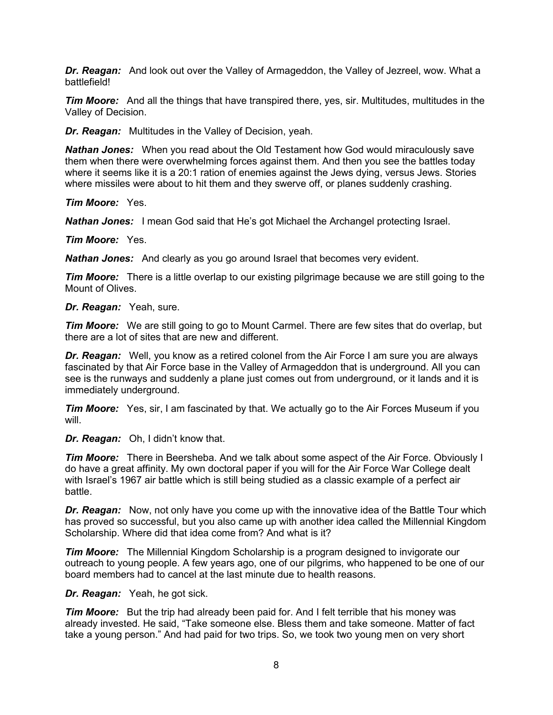*Dr. Reagan:* And look out over the Valley of Armageddon, the Valley of Jezreel, wow. What a battlefield!

*Tim Moore:* And all the things that have transpired there, yes, sir. Multitudes, multitudes in the Valley of Decision.

*Dr. Reagan:* Multitudes in the Valley of Decision, yeah.

*Nathan Jones:* When you read about the Old Testament how God would miraculously save them when there were overwhelming forces against them. And then you see the battles today where it seems like it is a 20:1 ration of enemies against the Jews dying, versus Jews. Stories where missiles were about to hit them and they swerve off, or planes suddenly crashing.

*Tim Moore:* Yes.

*Nathan Jones:* I mean God said that He's got Michael the Archangel protecting Israel.

*Tim Moore:* Yes.

*Nathan Jones:* And clearly as you go around Israel that becomes very evident.

*Tim Moore:* There is a little overlap to our existing pilgrimage because we are still going to the Mount of Olives.

#### *Dr. Reagan:* Yeah, sure.

*Tim Moore:* We are still going to go to Mount Carmel. There are few sites that do overlap, but there are a lot of sites that are new and different.

*Dr. Reagan:* Well, you know as a retired colonel from the Air Force I am sure you are always fascinated by that Air Force base in the Valley of Armageddon that is underground. All you can see is the runways and suddenly a plane just comes out from underground, or it lands and it is immediately underground.

*Tim Moore:* Yes, sir, I am fascinated by that. We actually go to the Air Forces Museum if you will.

*Dr. Reagan:* Oh, I didn't know that.

*Tim Moore:* There in Beersheba. And we talk about some aspect of the Air Force. Obviously I do have a great affinity. My own doctoral paper if you will for the Air Force War College dealt with Israel's 1967 air battle which is still being studied as a classic example of a perfect air battle.

*Dr. Reagan:* Now, not only have you come up with the innovative idea of the Battle Tour which has proved so successful, but you also came up with another idea called the Millennial Kingdom Scholarship. Where did that idea come from? And what is it?

*Tim Moore:* The Millennial Kingdom Scholarship is a program designed to invigorate our outreach to young people. A few years ago, one of our pilgrims, who happened to be one of our board members had to cancel at the last minute due to health reasons.

#### *Dr. Reagan:* Yeah, he got sick.

**Tim Moore:** But the trip had already been paid for. And I felt terrible that his money was already invested. He said, "Take someone else. Bless them and take someone. Matter of fact take a young person." And had paid for two trips. So, we took two young men on very short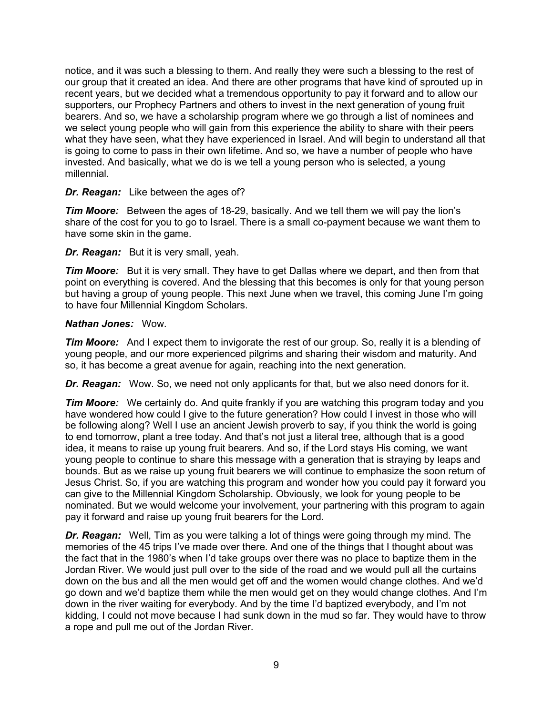notice, and it was such a blessing to them. And really they were such a blessing to the rest of our group that it created an idea. And there are other programs that have kind of sprouted up in recent years, but we decided what a tremendous opportunity to pay it forward and to allow our supporters, our Prophecy Partners and others to invest in the next generation of young fruit bearers. And so, we have a scholarship program where we go through a list of nominees and we select young people who will gain from this experience the ability to share with their peers what they have seen, what they have experienced in Israel. And will begin to understand all that is going to come to pass in their own lifetime. And so, we have a number of people who have invested. And basically, what we do is we tell a young person who is selected, a young millennial.

## *Dr. Reagan:* Like between the ages of?

*Tim Moore:* Between the ages of 18-29, basically. And we tell them we will pay the lion's share of the cost for you to go to Israel. There is a small co-payment because we want them to have some skin in the game.

## *Dr. Reagan:* But it is very small, yeah.

*Tim Moore:* But it is very small. They have to get Dallas where we depart, and then from that point on everything is covered. And the blessing that this becomes is only for that young person but having a group of young people. This next June when we travel, this coming June I'm going to have four Millennial Kingdom Scholars.

## *Nathan Jones:* Wow.

*Tim Moore:* And I expect them to invigorate the rest of our group. So, really it is a blending of young people, and our more experienced pilgrims and sharing their wisdom and maturity. And so, it has become a great avenue for again, reaching into the next generation.

*Dr. Reagan:* Wow. So, we need not only applicants for that, but we also need donors for it.

*Tim Moore:* We certainly do. And quite frankly if you are watching this program today and you have wondered how could I give to the future generation? How could I invest in those who will be following along? Well I use an ancient Jewish proverb to say, if you think the world is going to end tomorrow, plant a tree today. And that's not just a literal tree, although that is a good idea, it means to raise up young fruit bearers. And so, if the Lord stays His coming, we want young people to continue to share this message with a generation that is straying by leaps and bounds. But as we raise up young fruit bearers we will continue to emphasize the soon return of Jesus Christ. So, if you are watching this program and wonder how you could pay it forward you can give to the Millennial Kingdom Scholarship. Obviously, we look for young people to be nominated. But we would welcome your involvement, your partnering with this program to again pay it forward and raise up young fruit bearers for the Lord.

*Dr. Reagan:* Well, Tim as you were talking a lot of things were going through my mind. The memories of the 45 trips I've made over there. And one of the things that I thought about was the fact that in the 1980's when I'd take groups over there was no place to baptize them in the Jordan River. We would just pull over to the side of the road and we would pull all the curtains down on the bus and all the men would get off and the women would change clothes. And we'd go down and we'd baptize them while the men would get on they would change clothes. And I'm down in the river waiting for everybody. And by the time I'd baptized everybody, and I'm not kidding, I could not move because I had sunk down in the mud so far. They would have to throw a rope and pull me out of the Jordan River.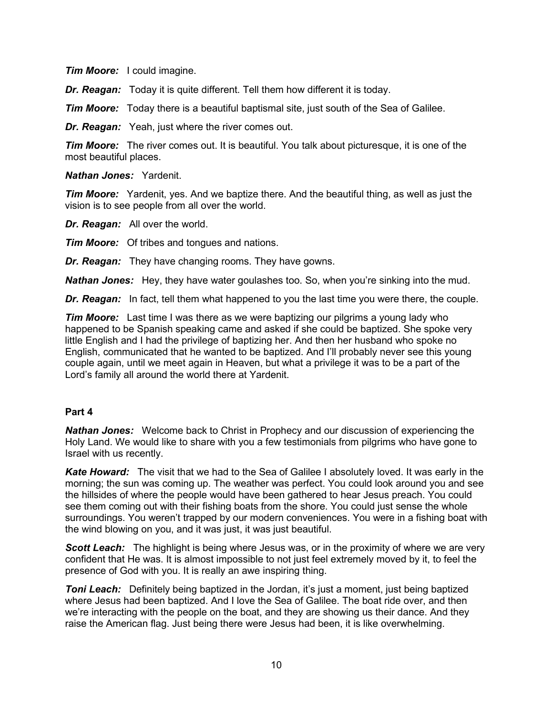*Tim Moore:* I could imagine.

*Dr. Reagan:* Today it is quite different. Tell them how different it is today.

**Tim Moore:** Today there is a beautiful baptismal site, just south of the Sea of Galilee.

*Dr. Reagan:* Yeah, just where the river comes out.

*Tim Moore:* The river comes out. It is beautiful. You talk about picturesque, it is one of the most beautiful places.

*Nathan Jones:* Yardenit.

*Tim Moore:* Yardenit, yes. And we baptize there. And the beautiful thing, as well as just the vision is to see people from all over the world.

*Dr. Reagan:* All over the world.

*Tim Moore:* Of tribes and tongues and nations.

*Dr. Reagan:* They have changing rooms. They have gowns.

*Nathan Jones:* Hey, they have water goulashes too. So, when you're sinking into the mud.

*Dr. Reagan:* In fact, tell them what happened to you the last time you were there, the couple.

*Tim Moore:* Last time I was there as we were baptizing our pilgrims a young lady who happened to be Spanish speaking came and asked if she could be baptized. She spoke very little English and I had the privilege of baptizing her. And then her husband who spoke no English, communicated that he wanted to be baptized. And I'll probably never see this young couple again, until we meet again in Heaven, but what a privilege it was to be a part of the Lord's family all around the world there at Yardenit.

# **Part 4**

*Nathan Jones:* Welcome back to Christ in Prophecy and our discussion of experiencing the Holy Land. We would like to share with you a few testimonials from pilgrims who have gone to Israel with us recently.

*Kate Howard:* The visit that we had to the Sea of Galilee I absolutely loved. It was early in the morning; the sun was coming up. The weather was perfect. You could look around you and see the hillsides of where the people would have been gathered to hear Jesus preach. You could see them coming out with their fishing boats from the shore. You could just sense the whole surroundings. You weren't trapped by our modern conveniences. You were in a fishing boat with the wind blowing on you, and it was just, it was just beautiful.

**Scott Leach:** The highlight is being where Jesus was, or in the proximity of where we are very confident that He was. It is almost impossible to not just feel extremely moved by it, to feel the presence of God with you. It is really an awe inspiring thing.

**Toni Leach:** Definitely being baptized in the Jordan, it's just a moment, just being baptized where Jesus had been baptized. And I love the Sea of Galilee. The boat ride over, and then we're interacting with the people on the boat, and they are showing us their dance. And they raise the American flag. Just being there were Jesus had been, it is like overwhelming.